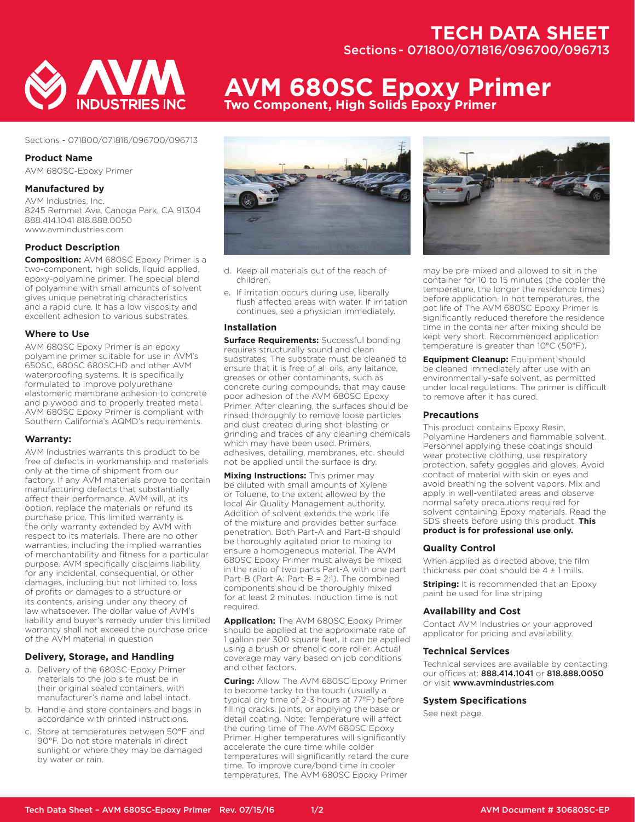## **TECH DATA SHEET** Sections - 071800/071816/096700/096713



#### Sections - 071800/071816/096700/096713

#### **Product Name**

AVM 680SC-Epoxy Primer

## **Manufactured by**

AVM Industries, Inc. 8245 Remmet Ave, Canoga Park, CA 91304 888.414.1041 818.888.0050 www.avmindustries.com

## **Product Description**

**Composition:** AVM 680SC Epoxy Primer is a two-component, high solids, liquid applied, epoxy-polyamine primer. The special blend of polyamine with small amounts of solvent gives unique penetrating characteristics and a rapid cure. It has a low viscosity and excellent adhesion to various substrates.

#### **Where to Use**

AVM 680SC Epoxy Primer is an epoxy polyamine primer suitable for use in AVM's 650SC, 680SC 680SCHD and other AVM waterproofing systems. It is specifically formulated to improve polyurethane elastomeric membrane adhesion to concrete and plywood and to properly treated metal. AVM 680SC Epoxy Primer is compliant with Southern California's AQMD's requirements.

#### **Warranty:**

AVM Industries warrants this product to be free of defects in workmanship and materials only at the time of shipment from our factory. If any AVM materials prove to contain manufacturing defects that substantially affect their performance, AVM will, at its option, replace the materials or refund its purchase price. This limited warranty is the only warranty extended by AVM with respect to its materials. There are no other warranties, including the implied warranties of merchantability and fitness for a particular purpose. AVM specifically disclaims liability for any incidental, consequential, or other damages, including but not limited to, loss of profits or damages to a structure or its contents, arising under any theory of law whatsoever. The dollar value of AVM's liability and buyer's remedy under this limited warranty shall not exceed the purchase price of the AVM material in question

## **Delivery, Storage, and Handling**

- a. Delivery of the 680SC-Epoxy Primer materials to the job site must be in their original sealed containers, with manufacturer's name and label intact.
- b. Handle and store containers and bags in accordance with printed instructions.
- c. Store at temperatures between 50°F and 90°F. Do not store materials in direct sunlight or where they may be damaged by water or rain.

# **AVM 680SC Epoxy Primer Two Component, High Solids Epoxy Primer**



- d. Keep all materials out of the reach of children.
- e. If irritation occurs during use, liberally flush affected areas with water. If irritation continues, see a physician immediately.

#### **Installation**

**Surface Requirements:** Successful bonding requires structurally sound and clean substrates. The substrate must be cleaned to ensure that it is free of all oils, any laitance, greases or other contaminants, such as concrete curing compounds, that may cause poor adhesion of the AVM 680SC Epoxy Primer. After cleaning, the surfaces should be rinsed thoroughly to remove loose particles and dust created during shot-blasting or grinding and traces of any cleaning chemicals which may have been used. Primers, adhesives, detailing, membranes, etc. should not be applied until the surface is dry.

**Mixing Instructions:** This primer may be diluted with small amounts of Xylene or Toluene, to the extent allowed by the local Air Quality Management authority. Addition of solvent extends the work life of the mixture and provides better surface penetration. Both Part-A and Part-B should be thoroughly agitated prior to mixing to ensure a homogeneous material. The AVM 680SC Epoxy Primer must always be mixed in the ratio of two parts Part-A with one part Part-B (Part-A: Part-B = 2:1). The combined components should be thoroughly mixed for at least 2 minutes. Induction time is not required.

**Application:** The AVM 680SC Epoxy Primer should be applied at the approximate rate of 1 gallon per 300 square feet. It can be applied using a brush or phenolic core roller. Actual coverage may vary based on job conditions and other factors.

**Curing:** Allow The AVM 680SC Epoxy Primer to become tacky to the touch (usually a typical dry time of 2-3 hours at 77ºF) before filling cracks, joints, or applying the base or detail coating. Note: Temperature will affect the curing time of The AVM 680SC Epoxy Primer. Higher temperatures will significantly accelerate the cure time while colder temperatures will significantly retard the cure time. To improve cure/bond time in cooler temperatures, The AVM 680SC Epoxy Primer



may be pre-mixed and allowed to sit in the container for 10 to 15 minutes (the cooler the temperature, the longer the residence times) before application. In hot temperatures, the pot life of The AVM 680SC Epoxy Primer is significantly reduced therefore the residence time in the container after mixing should be kept very short. Recommended application temperature is greater than 10ºC (50ºF).

**Equipment Cleanup:** Equipment should be cleaned immediately after use with an environmentally-safe solvent, as permitted under local regulations. The primer is difficult to remove after it has cured.

#### **Precautions**

This product contains Epoxy Resin, Polyamine Hardeners and flammable solvent. Personnel applying these coatings should wear protective clothing, use respiratory protection, safety goggles and gloves. Avoid contact of material with skin or eyes and avoid breathing the solvent vapors. Mix and apply in well-ventilated areas and observe normal safety precautions required for solvent containing Epoxy materials. Read the SDS sheets before using this product. **This product is for professional use only.**

#### **Quality Control**

When applied as directed above, the film thickness per coat should be  $4 \pm 1$  mills.

**Striping:** It is recommended that an Epoxy paint be used for line striping

#### **Availability and Cost**

Contact AVM Industries or your approved applicator for pricing and availability.

#### **Technical Services**

Technical services are available by contacting our offices at: 888.414.1041 or 818.888.0050 or visit www.avmindustries.com

#### **System Specifications**

See next page.